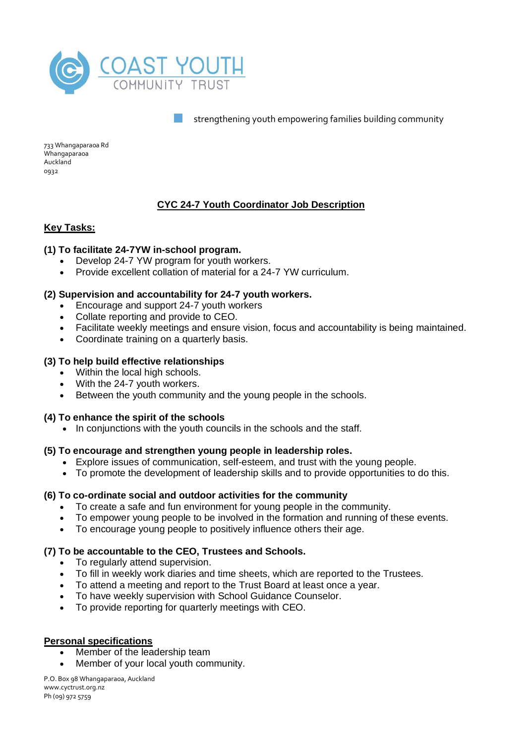

733 Whangaparaoa Rd Whangaparaoa Auckland 0932

# **CYC 24-7 Youth Coordinator Job Description**

# **Key Tasks:**

## **(1) To facilitate 24-7YW in-school program.**

- Develop 24-7 YW program for youth workers.
- Provide excellent collation of material for a 24-7 YW curriculum.

## **(2) Supervision and accountability for 24-7 youth workers.**

- Encourage and support 24-7 youth workers
- Collate reporting and provide to CEO.
- Facilitate weekly meetings and ensure vision, focus and accountability is being maintained.
- Coordinate training on a quarterly basis.

## **(3) To help build effective relationships**

- Within the local high schools.
- With the 24-7 youth workers.
- Between the youth community and the young people in the schools.

## **(4) To enhance the spirit of the schools**

• In conjunctions with the youth councils in the schools and the staff.

## **(5) To encourage and strengthen young people in leadership roles.**

- Explore issues of communication, self-esteem, and trust with the young people.
- To promote the development of leadership skills and to provide opportunities to do this.

## **(6) To co-ordinate social and outdoor activities for the community**

- To create a safe and fun environment for young people in the community.
- To empower young people to be involved in the formation and running of these events.
- To encourage young people to positively influence others their age.

# **(7) To be accountable to the CEO, Trustees and Schools.**

- To regularly attend supervision.
- To fill in weekly work diaries and time sheets, which are reported to the Trustees.
- To attend a meeting and report to the Trust Board at least once a year.
- To have weekly supervision with School Guidance Counselor.
- To provide reporting for quarterly meetings with CEO.

## **Personal specifications**

- Member of the leadership team
- Member of your local youth community.

P.O. Box 98 Whangaparaoa, Auckland www.cyctrust.org.nz Ph (09) 972 5759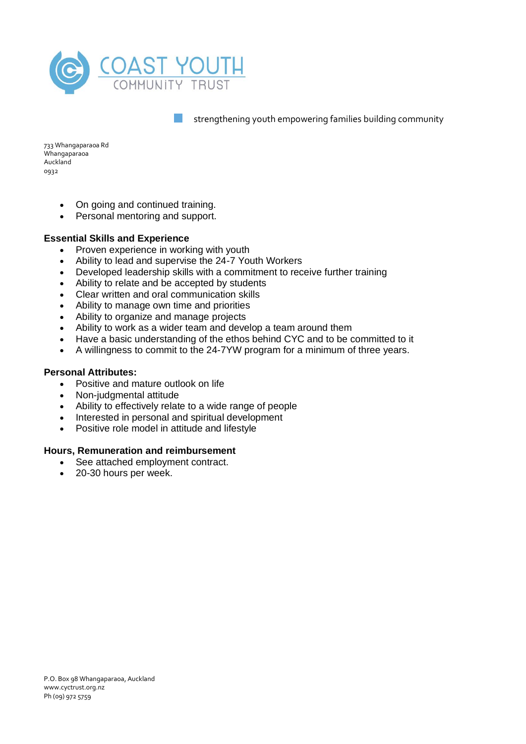

733 Whangaparaoa Rd Whangaparaoa Auckland 0932

- On going and continued training.
- Personal mentoring and support.

# **Essential Skills and Experience**

- Proven experience in working with youth
- Ability to lead and supervise the 24-7 Youth Workers
- Developed leadership skills with a commitment to receive further training
- Ability to relate and be accepted by students
- Clear written and oral communication skills
- Ability to manage own time and priorities
- Ability to organize and manage projects
- Ability to work as a wider team and develop a team around them
- Have a basic understanding of the ethos behind CYC and to be committed to it
- A willingness to commit to the 24-7YW program for a minimum of three years.

## **Personal Attributes:**

- Positive and mature outlook on life
- Non-judgmental attitude
- Ability to effectively relate to a wide range of people
- Interested in personal and spiritual development
- Positive role model in attitude and lifestyle

## **Hours, Remuneration and reimbursement**

- See attached employment contract.
- 20-30 hours per week.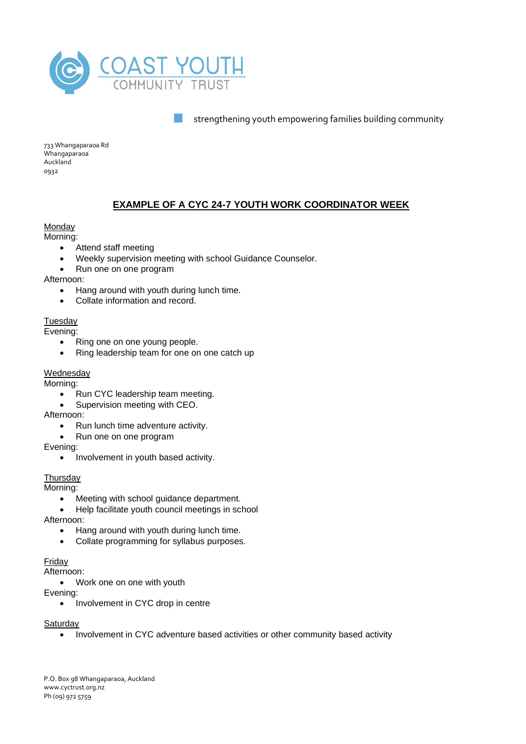

733 Whangaparaoa Rd Whangaparaoa Auckland 0932

# **EXAMPLE OF A CYC 24-7 YOUTH WORK COORDINATOR WEEK**

## **Monday**

Morning:

- Attend staff meeting
- Weekly supervision meeting with school Guidance Counselor.
- Run one on one program

Afternoon:

- Hang around with youth during lunch time.
- Collate information and record.

## **Tuesday**

Evening:

- Ring one on one young people.
- Ring leadership team for one on one catch up

## **Wednesday**

Morning:

- Run CYC leadership team meeting.
- Supervision meeting with CEO.
- Afternoon:
	- Run lunch time adventure activity.
	- Run one on one program

Evening:

• Involvement in youth based activity.

## **Thursday**

Morning:

• Meeting with school guidance department.

• Help facilitate youth council meetings in school

Afternoon:

- Hang around with youth during lunch time.
- Collate programming for syllabus purposes.

# Friday

Afternoon:

• Work one on one with youth

Evening:

• Involvement in CYC drop in centre

## **Saturday**

• Involvement in CYC adventure based activities or other community based activity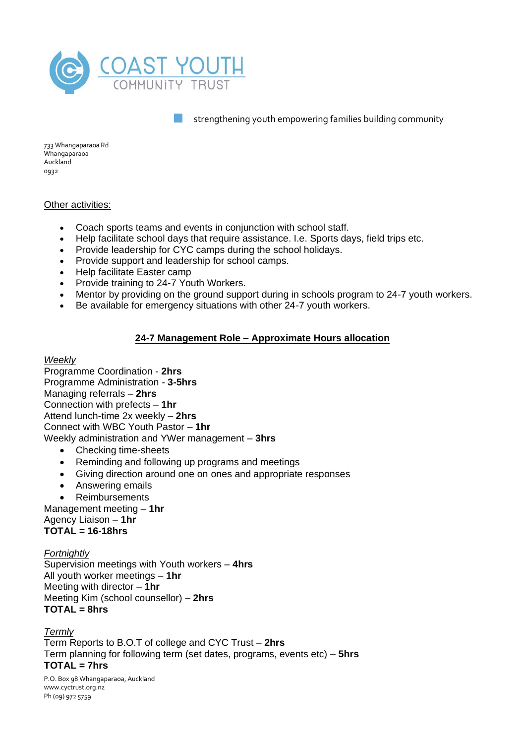

733 Whangaparaoa Rd Whangaparaoa Auckland 0932

# Other activities:

- Coach sports teams and events in conjunction with school staff.
- Help facilitate school days that require assistance. I.e. Sports days, field trips etc.
- Provide leadership for CYC camps during the school holidays.
- Provide support and leadership for school camps.
- Help facilitate Easter camp
- Provide training to 24-7 Youth Workers.
- Mentor by providing on the ground support during in schools program to 24-7 youth workers.
- Be available for emergency situations with other 24-7 youth workers.

# **24-7 Management Role – Approximate Hours allocation**

#### *Weekly*

Programme Coordination - **2hrs** Programme Administration - **3-5hrs** Managing referrals – **2hrs** Connection with prefects – **1hr** Attend lunch-time 2x weekly – **2hrs** Connect with WBC Youth Pastor – **1hr** Weekly administration and YWer management – **3hrs**

- Checking time-sheets
- Reminding and following up programs and meetings
- Giving direction around one on ones and appropriate responses
- Answering emails
- **Reimbursements**

Management meeting – **1hr** Agency Liaison – **1hr TOTAL = 16-18hrs**

# *Fortnightly*

Supervision meetings with Youth workers – **4hrs** All youth worker meetings – **1hr** Meeting with director – **1hr** Meeting Kim (school counsellor) – **2hrs TOTAL = 8hrs**

*Termly* Term Reports to B.O.T of college and CYC Trust – **2hrs** Term planning for following term (set dates, programs, events etc) – **5hrs TOTAL = 7hrs**

P.O. Box 98 Whangaparaoa, Auckland www.cyctrust.org.nz Ph (09) 972 5759